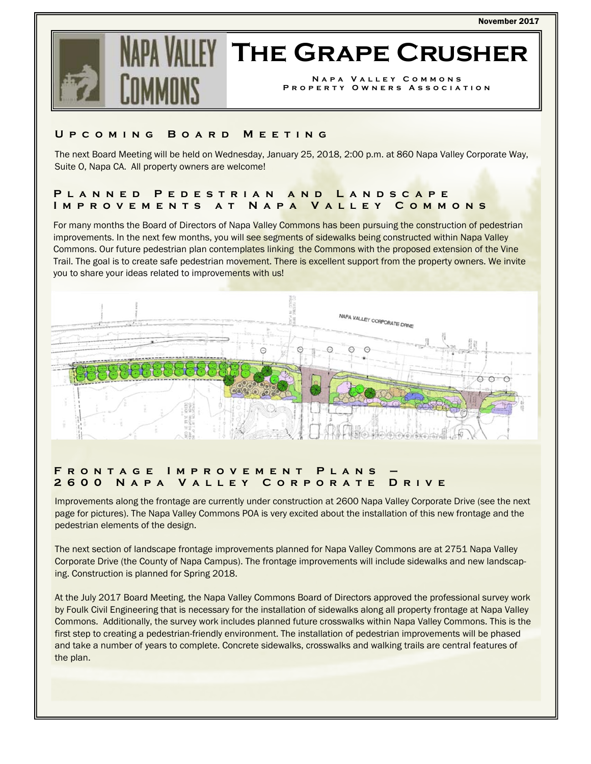

# **The Grape Crusher**

**Napa Valley Commons Property Owners Association** 

### **Upcoming Board Meeting**

The next Board Meeting will be held on Wednesday, January 25, 2018, 2:00 p.m. at 860 Napa Valley Corporate Way, Suite O, Napa CA. All property owners are welcome!

# **Planned Pedestrian and Landscape Improvements at Napa Valley Commons**

For many months the Board of Directors of Napa Valley Commons has been pursuing the construction of pedestrian improvements. In the next few months, you will see segments of sidewalks being constructed within Napa Valley Commons. Our future pedestrian plan contemplates linking the Commons with the proposed extension of the Vine Trail. The goal is to create safe pedestrian movement. There is excellent support from the property owners. We invite you to share your ideas related to improvements with us!



## **FRONTAGE IMPROVEMENT PLANS 2600 Napa Valley Corporate Drive**

Improvements along the frontage are currently under construction at 2600 Napa Valley Corporate Drive (see the next page for pictures). The Napa Valley Commons POA is very excited about the installation of this new frontage and the pedestrian elements of the design.

The next section of landscape frontage improvements planned for Napa Valley Commons are at 2751 Napa Valley Corporate Drive (the County of Napa Campus). The frontage improvements will include sidewalks and new landscaping. Construction is planned for Spring 2018.

At the July 2017 Board Meeting, the Napa Valley Commons Board of Directors approved the professional survey work by Foulk Civil Engineering that is necessary for the installation of sidewalks along all property frontage at Napa Valley Commons. Additionally, the survey work includes planned future crosswalks within Napa Valley Commons. This is the first step to creating a pedestrian-friendly environment. The installation of pedestrian improvements will be phased and take a number of years to complete. Concrete sidewalks, crosswalks and walking trails are central features of the plan.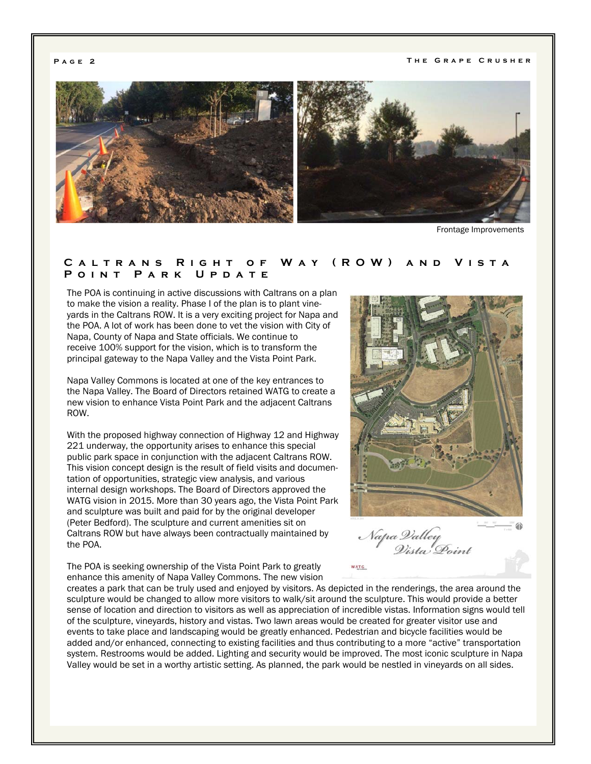**Page 2 The Grape Crusher** 



Frontage Improvements

#### **Caltrans Right of Way (ROW) and Vista Point Park Update**

The POA is continuing in active discussions with Caltrans on a plan to make the vision a reality. Phase I of the plan is to plant vineyards in the Caltrans ROW. It is a very exciting project for Napa and the POA. A lot of work has been done to vet the vision with City of Napa, County of Napa and State officials. We continue to receive 100% support for the vision, which is to transform the principal gateway to the Napa Valley and the Vista Point Park.

Napa Valley Commons is located at one of the key entrances to the Napa Valley. The Board of Directors retained WATG to create a new vision to enhance Vista Point Park and the adjacent Caltrans ROW.

With the proposed highway connection of Highway 12 and Highway 221 underway, the opportunity arises to enhance this special public park space in conjunction with the adjacent Caltrans ROW. This vision concept design is the result of field visits and documentation of opportunities, strategic view analysis, and various internal design workshops. The Board of Directors approved the WATG vision in 2015. More than 30 years ago, the Vista Point Park and sculpture was built and paid for by the original developer (Peter Bedford). The sculpture and current amenities sit on Caltrans ROW but have always been contractually maintained by the POA.

The POA is seeking ownership of the Vista Point Park to greatly enhance this amenity of Napa Valley Commons. The new vision



**WATG** 

creates a park that can be truly used and enjoyed by visitors. As depicted in the renderings, the area around the sculpture would be changed to allow more visitors to walk/sit around the sculpture. This would provide a better sense of location and direction to visitors as well as appreciation of incredible vistas. Information signs would tell of the sculpture, vineyards, history and vistas. Two lawn areas would be created for greater visitor use and events to take place and landscaping would be greatly enhanced. Pedestrian and bicycle facilities would be added and/or enhanced, connecting to existing facilities and thus contributing to a more "active" transportation system. Restrooms would be added. Lighting and security would be improved. The most iconic sculpture in Napa Valley would be set in a worthy artistic setting. As planned, the park would be nestled in vineyards on all sides.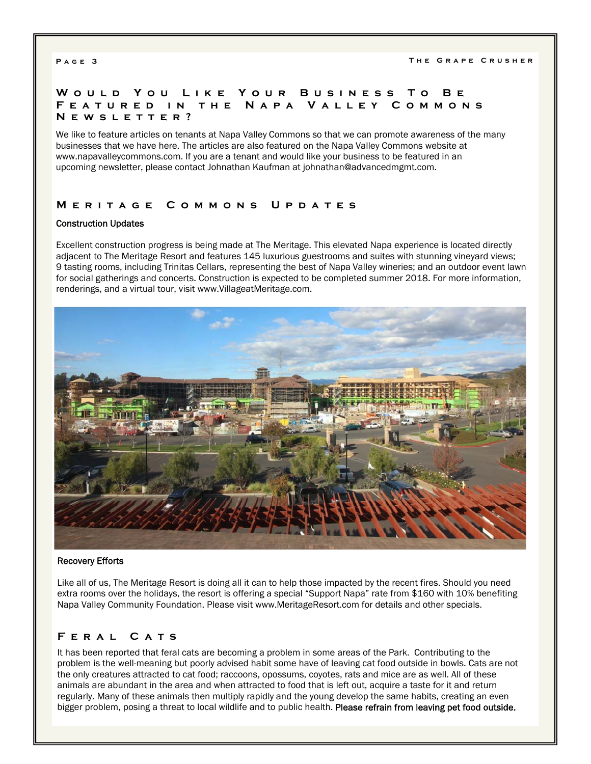#### **Would You Like You r Business To Be Featured in the Napa Valley Commons Newsletter?**

We like to feature articles on tenants at Napa Valley Commons so that we can promote awareness of the many businesses that we have here. The articles are also featured on the Napa Valley Commons website at www.napavalleycommons.com. If you are a tenant and would like your business to be featured in an upcoming newsletter, please contact Johnathan Kaufman at johnathan@advancedmgmt.com.

### **Meritage Commons Updates**

#### Construction Updates

Excellent construction progress is being made at The Meritage. This elevated Napa experience is located directly adjacent to The Meritage Resort and features 145 luxurious guestrooms and suites with stunning vineyard views; 9 tasting rooms, including Trinitas Cellars, representing the best of Napa Valley wineries; and an outdoor event lawn for social gatherings and concerts. Construction is expected to be completed summer 2018. For more information, renderings, and a virtual tour, visit www.VillageatMeritage.com.



#### Recovery Efforts

Like all of us, The Meritage Resort is doing all it can to help those impacted by the recent fires. Should you need extra rooms over the holidays, the resort is offering a special "Support Napa" rate from \$160 with 10% benefiting Napa Valley Community Foundation. Please visit www.MeritageResort.com for details and other specials.

# **Feral Cats**

It has been reported that feral cats are becoming a problem in some areas of the Park. Contributing to the problem is the well-meaning but poorly advised habit some have of leaving cat food outside in bowls. Cats are not the only creatures attracted to cat food; raccoons, opossums, coyotes, rats and mice are as well. All of these animals are abundant in the area and when attracted to food that is left out, acquire a taste for it and return regularly. Many of these animals then multiply rapidly and the young develop the same habits, creating an even bigger problem, posing a threat to local wildlife and to public health. Please refrain from leaving pet food outside.